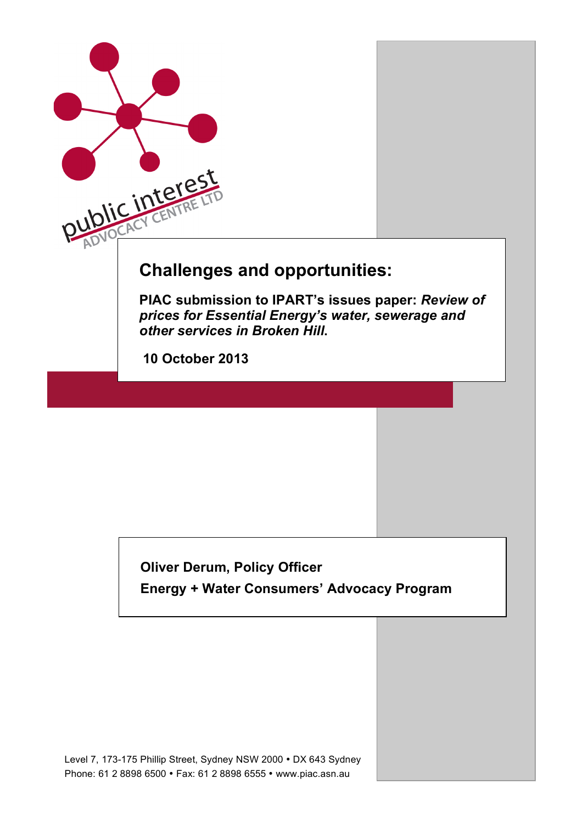

## **Oliver Derum, Policy Officer Energy + Water Consumers' Advocacy Program**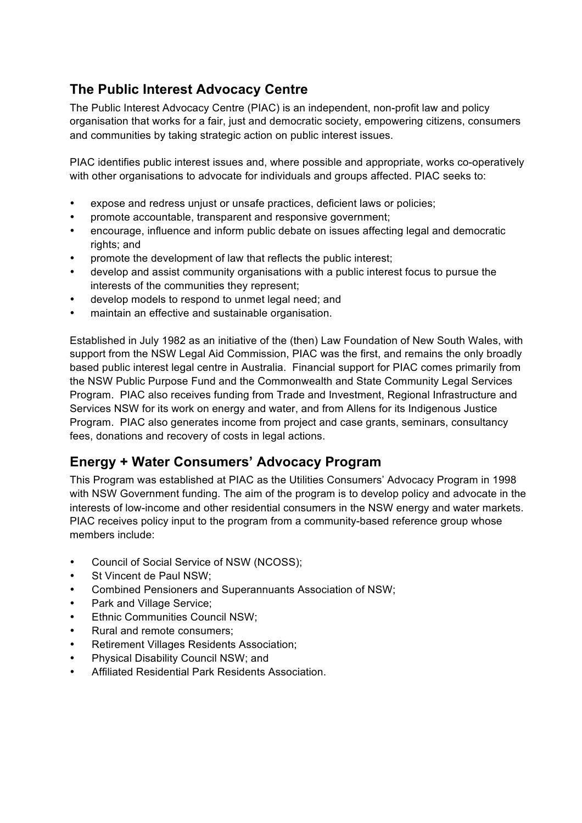## **The Public Interest Advocacy Centre**

The Public Interest Advocacy Centre (PIAC) is an independent, non-profit law and policy organisation that works for a fair, just and democratic society, empowering citizens, consumers and communities by taking strategic action on public interest issues.

PIAC identifies public interest issues and, where possible and appropriate, works co-operatively with other organisations to advocate for individuals and groups affected. PIAC seeks to:

- expose and redress unjust or unsafe practices, deficient laws or policies;
- promote accountable, transparent and responsive government;
- encourage, influence and inform public debate on issues affecting legal and democratic rights; and
- promote the development of law that reflects the public interest;
- develop and assist community organisations with a public interest focus to pursue the interests of the communities they represent;
- develop models to respond to unmet legal need; and
- maintain an effective and sustainable organisation.

Established in July 1982 as an initiative of the (then) Law Foundation of New South Wales, with support from the NSW Legal Aid Commission, PIAC was the first, and remains the only broadly based public interest legal centre in Australia. Financial support for PIAC comes primarily from the NSW Public Purpose Fund and the Commonwealth and State Community Legal Services Program. PIAC also receives funding from Trade and Investment, Regional Infrastructure and Services NSW for its work on energy and water, and from Allens for its Indigenous Justice Program. PIAC also generates income from project and case grants, seminars, consultancy fees, donations and recovery of costs in legal actions.

### **Energy + Water Consumers' Advocacy Program**

This Program was established at PIAC as the Utilities Consumers' Advocacy Program in 1998 with NSW Government funding. The aim of the program is to develop policy and advocate in the interests of low-income and other residential consumers in the NSW energy and water markets. PIAC receives policy input to the program from a community-based reference group whose members include:

- Council of Social Service of NSW (NCOSS);
- St Vincent de Paul NSW;
- Combined Pensioners and Superannuants Association of NSW;
- Park and Village Service:
- **Ethnic Communities Council NSW:**
- Rural and remote consumers;
- Retirement Villages Residents Association;
- Physical Disability Council NSW; and
- Affiliated Residential Park Residents Association.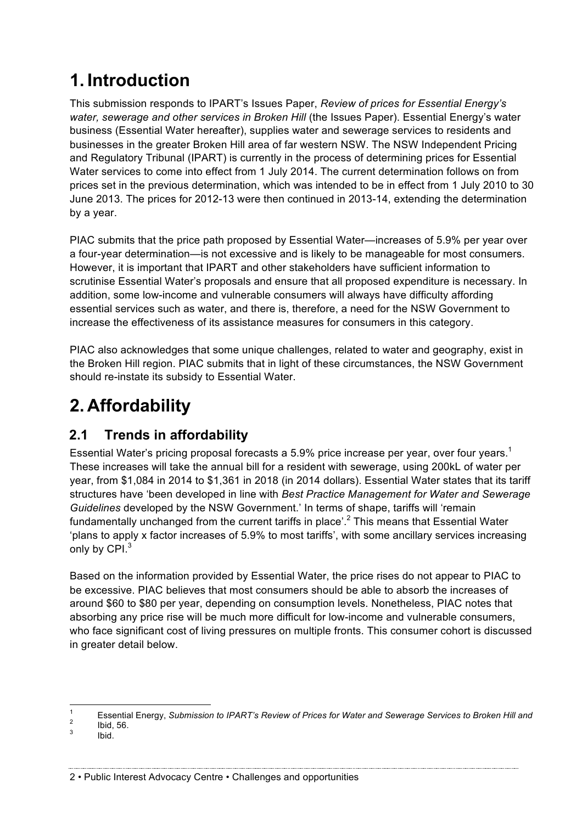## **1. Introduction**

This submission responds to IPART's Issues Paper, *Review of prices for Essential Energy's water, sewerage and other services in Broken Hill* (the Issues Paper). Essential Energy's water business (Essential Water hereafter), supplies water and sewerage services to residents and businesses in the greater Broken Hill area of far western NSW. The NSW Independent Pricing and Regulatory Tribunal (IPART) is currently in the process of determining prices for Essential Water services to come into effect from 1 July 2014. The current determination follows on from prices set in the previous determination, which was intended to be in effect from 1 July 2010 to 30 June 2013. The prices for 2012-13 were then continued in 2013-14, extending the determination by a year.

PIAC submits that the price path proposed by Essential Water—increases of 5.9% per year over a four-year determination—is not excessive and is likely to be manageable for most consumers. However, it is important that IPART and other stakeholders have sufficient information to scrutinise Essential Water's proposals and ensure that all proposed expenditure is necessary. In addition, some low-income and vulnerable consumers will always have difficulty affording essential services such as water, and there is, therefore, a need for the NSW Government to increase the effectiveness of its assistance measures for consumers in this category.

PIAC also acknowledges that some unique challenges, related to water and geography, exist in the Broken Hill region. PIAC submits that in light of these circumstances, the NSW Government should re-instate its subsidy to Essential Water.

# **2. Affordability**

## **2.1 Trends in affordability**

Essential Water's pricing proposal forecasts a 5.9% price increase per year, over four years.<sup>1</sup> These increases will take the annual bill for a resident with sewerage, using 200kL of water per year, from \$1,084 in 2014 to \$1,361 in 2018 (in 2014 dollars). Essential Water states that its tariff structures have 'been developed in line with *Best Practice Management for Water and Sewerage Guidelines* developed by the NSW Government.' In terms of shape, tariffs will 'remain fundamentally unchanged from the current tariffs in place'.<sup>2</sup> This means that Essential Water 'plans to apply x factor increases of 5.9% to most tariffs', with some ancillary services increasing only by CPI.<sup>3</sup>

Based on the information provided by Essential Water, the price rises do not appear to PIAC to be excessive. PIAC believes that most consumers should be able to absorb the increases of around \$60 to \$80 per year, depending on consumption levels. Nonetheless, PIAC notes that absorbing any price rise will be much more difficult for low-income and vulnerable consumers, who face significant cost of living pressures on multiple fronts. This consumer cohort is discussed in greater detail below.

<sup>1</sup> Essential Energy, *Submission to IPART's Review of Prices for Water and Sewerage Services to Broken Hill and*<br>2 Ibid, 56. 3 Ibid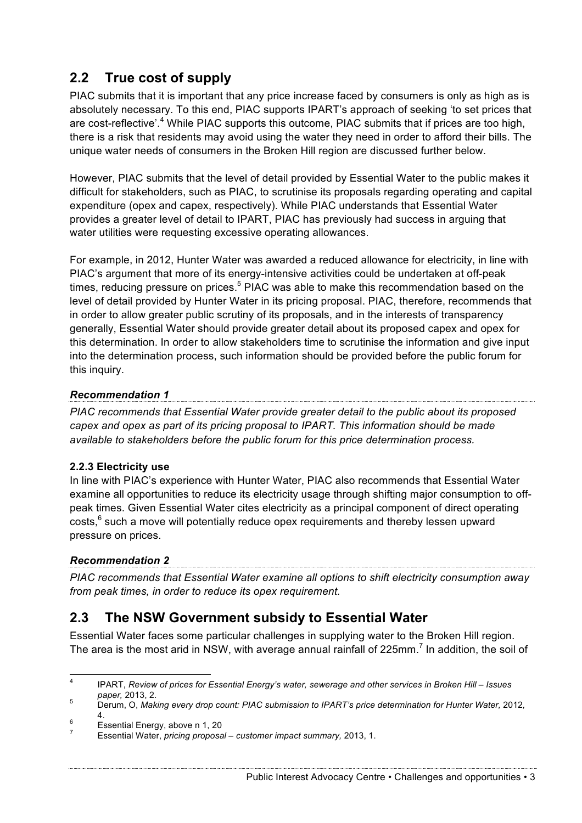## **2.2 True cost of supply**

PIAC submits that it is important that any price increase faced by consumers is only as high as is absolutely necessary. To this end, PIAC supports IPART's approach of seeking 'to set prices that are cost-reflective'.<sup>4</sup> While PIAC supports this outcome, PIAC submits that if prices are too high, there is a risk that residents may avoid using the water they need in order to afford their bills. The unique water needs of consumers in the Broken Hill region are discussed further below.

However, PIAC submits that the level of detail provided by Essential Water to the public makes it difficult for stakeholders, such as PIAC, to scrutinise its proposals regarding operating and capital expenditure (opex and capex, respectively). While PIAC understands that Essential Water provides a greater level of detail to IPART, PIAC has previously had success in arguing that water utilities were requesting excessive operating allowances.

For example, in 2012, Hunter Water was awarded a reduced allowance for electricity, in line with PIAC's argument that more of its energy-intensive activities could be undertaken at off-peak times, reducing pressure on prices.<sup>5</sup> PIAC was able to make this recommendation based on the level of detail provided by Hunter Water in its pricing proposal. PIAC, therefore, recommends that in order to allow greater public scrutiny of its proposals, and in the interests of transparency generally, Essential Water should provide greater detail about its proposed capex and opex for this determination. In order to allow stakeholders time to scrutinise the information and give input into the determination process, such information should be provided before the public forum for this inquiry.

### *Recommendation 1*

*PIAC recommends that Essential Water provide greater detail to the public about its proposed capex and opex as part of its pricing proposal to IPART. This information should be made available to stakeholders before the public forum for this price determination process.*

#### **2.2.3 Electricity use**

In line with PIAC's experience with Hunter Water, PIAC also recommends that Essential Water examine all opportunities to reduce its electricity usage through shifting major consumption to offpeak times. Given Essential Water cites electricity as a principal component of direct operating costs,<sup>6</sup> such a move will potentially reduce opex requirements and thereby lessen upward pressure on prices.

#### *Recommendation 2*

*PIAC recommends that Essential Water examine all options to shift electricity consumption away from peak times, in order to reduce its opex requirement.*

## **2.3 The NSW Government subsidy to Essential Water**

Essential Water faces some particular challenges in supplying water to the Broken Hill region. The area is the most arid in NSW, with average annual rainfall of 225mm.<sup>7</sup> In addition, the soil of

 <sup>4</sup> IPART, *Review of prices for Essential Energy's water, sewerage and other services in Broken Hill – Issues* 

*paper,* 2013, 2. <sup>5</sup> Derum, O, *Making every drop count: PIAC submission to IPART's price determination for Hunter Water,* 2012*,*  4. <sup>6</sup> Essential Energy, above n 1, 20 <sup>7</sup> Essential Water, *pricing proposal – customer impact summary,* 2013, 1.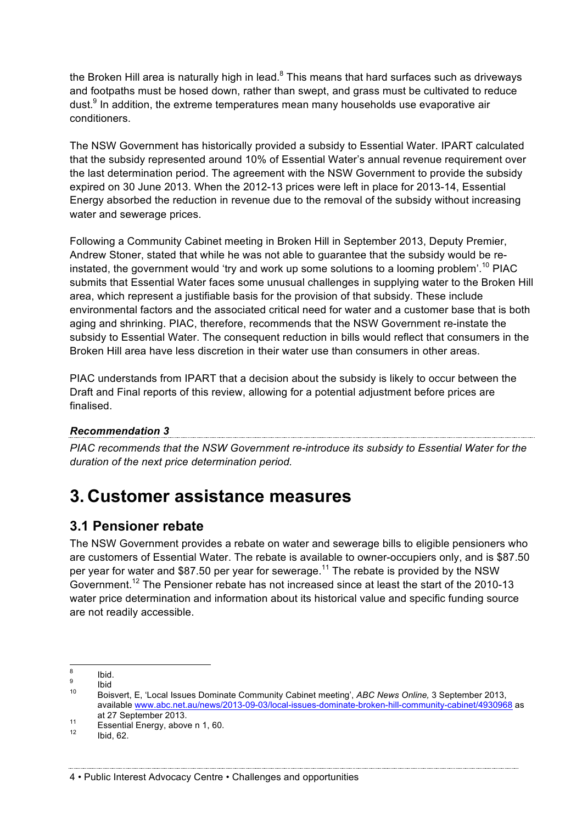the Broken Hill area is naturally high in lead. $8$  This means that hard surfaces such as driveways and footpaths must be hosed down, rather than swept, and grass must be cultivated to reduce dust. $9$  In addition, the extreme temperatures mean many households use evaporative air conditioners.

The NSW Government has historically provided a subsidy to Essential Water. IPART calculated that the subsidy represented around 10% of Essential Water's annual revenue requirement over the last determination period. The agreement with the NSW Government to provide the subsidy expired on 30 June 2013. When the 2012-13 prices were left in place for 2013-14, Essential Energy absorbed the reduction in revenue due to the removal of the subsidy without increasing water and sewerage prices.

Following a Community Cabinet meeting in Broken Hill in September 2013, Deputy Premier, Andrew Stoner, stated that while he was not able to guarantee that the subsidy would be reinstated, the government would 'try and work up some solutions to a looming problem'.<sup>10</sup> PIAC submits that Essential Water faces some unusual challenges in supplying water to the Broken Hill area, which represent a justifiable basis for the provision of that subsidy. These include environmental factors and the associated critical need for water and a customer base that is both aging and shrinking. PIAC, therefore, recommends that the NSW Government re-instate the subsidy to Essential Water. The consequent reduction in bills would reflect that consumers in the Broken Hill area have less discretion in their water use than consumers in other areas.

PIAC understands from IPART that a decision about the subsidy is likely to occur between the Draft and Final reports of this review, allowing for a potential adjustment before prices are finalised.

#### *Recommendation 3*

*PIAC recommends that the NSW Government re-introduce its subsidy to Essential Water for the duration of the next price determination period.*

## **3. Customer assistance measures**

### **3.1 Pensioner rebate**

The NSW Government provides a rebate on water and sewerage bills to eligible pensioners who are customers of Essential Water. The rebate is available to owner-occupiers only, and is \$87.50 per year for water and \$87.50 per year for sewerage.<sup>11</sup> The rebate is provided by the NSW Government.<sup>12</sup> The Pensioner rebate has not increased since at least the start of the 2010-13 water price determination and information about its historical value and specific funding source are not readily accessible.

<sup>&</sup>lt;sup>8</sup> Ibid.<br><sup>9</sup> Ibid<br><sup>10</sup> Boisvert, E, 'Local Issues Dominate Community Cabinet meeting', *ABC News Online,* 3 September 2013, available www.abc.net.au/news/2013-09-03/local-issues-dominate-broken-hill-community-cabinet/4930968 as

at 27 September 2013.<br>
<sup>11</sup> Essential Energy, above n 1, 60.<br>
<sup>12</sup> Ibid, 62.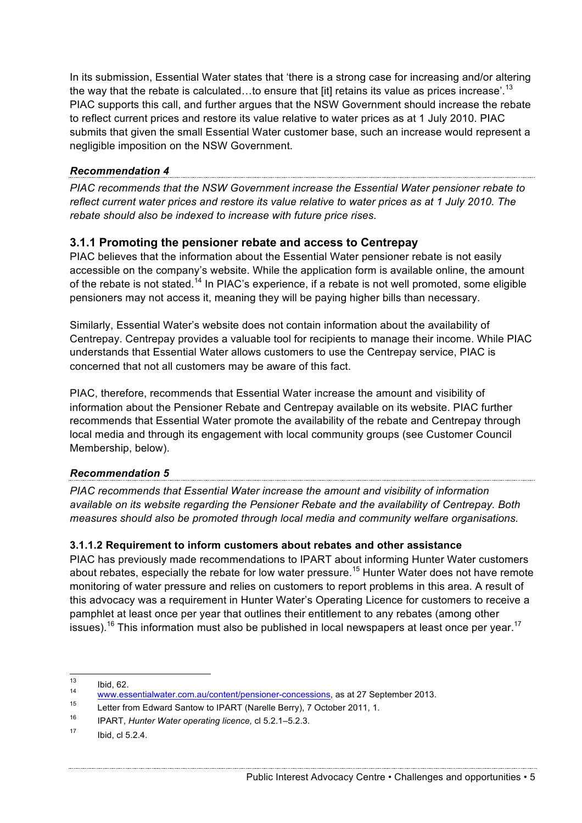In its submission, Essential Water states that 'there is a strong case for increasing and/or altering the way that the rebate is calculated...to ensure that [it] retains its value as prices increase'.<sup>13</sup> PIAC supports this call, and further argues that the NSW Government should increase the rebate to reflect current prices and restore its value relative to water prices as at 1 July 2010. PIAC submits that given the small Essential Water customer base, such an increase would represent a negligible imposition on the NSW Government.

#### *Recommendation 4*

*PIAC recommends that the NSW Government increase the Essential Water pensioner rebate to reflect current water prices and restore its value relative to water prices as at 1 July 2010. The rebate should also be indexed to increase with future price rises.*

#### **3.1.1 Promoting the pensioner rebate and access to Centrepay**

PIAC believes that the information about the Essential Water pensioner rebate is not easily accessible on the company's website. While the application form is available online, the amount of the rebate is not stated.<sup>14</sup> In PIAC's experience, if a rebate is not well promoted, some eligible pensioners may not access it, meaning they will be paying higher bills than necessary.

Similarly, Essential Water's website does not contain information about the availability of Centrepay. Centrepay provides a valuable tool for recipients to manage their income. While PIAC understands that Essential Water allows customers to use the Centrepay service, PIAC is concerned that not all customers may be aware of this fact.

PIAC, therefore, recommends that Essential Water increase the amount and visibility of information about the Pensioner Rebate and Centrepay available on its website. PIAC further recommends that Essential Water promote the availability of the rebate and Centrepay through local media and through its engagement with local community groups (see Customer Council Membership, below).

#### *Recommendation 5*

*PIAC recommends that Essential Water increase the amount and visibility of information available on its website regarding the Pensioner Rebate and the availability of Centrepay. Both measures should also be promoted through local media and community welfare organisations.*

#### **3.1.1.2 Requirement to inform customers about rebates and other assistance**

PIAC has previously made recommendations to IPART about informing Hunter Water customers about rebates, especially the rebate for low water pressure.<sup>15</sup> Hunter Water does not have remote monitoring of water pressure and relies on customers to report problems in this area. A result of this advocacy was a requirement in Hunter Water's Operating Licence for customers to receive a pamphlet at least once per year that outlines their entitlement to any rebates (among other issues).<sup>16</sup> This information must also be published in local newspapers at least once per year.<sup>17</sup>

<sup>13</sup> Ibid, 62.<br>
<u>www.essentialwater.com.au/content/pensioner-concessions</u>, as at 27 September 2013.

Letter from Edward Santow to IPART (Narelle Berry), 7 October 2011, 1.

<sup>16</sup> IPART, *Hunter Water operating licence,* cl 5.2.1–5.2.3.

 $17$  Ibid, cl 5.2.4.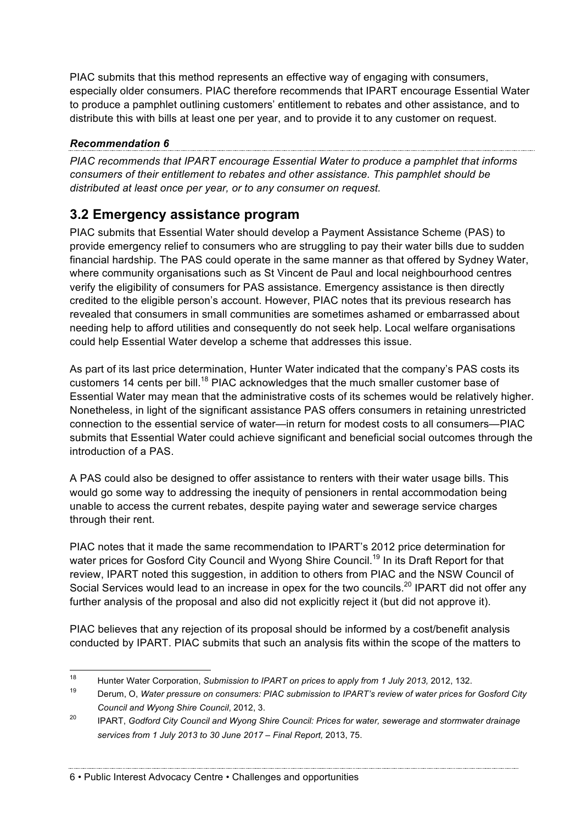PIAC submits that this method represents an effective way of engaging with consumers, especially older consumers. PIAC therefore recommends that IPART encourage Essential Water to produce a pamphlet outlining customers' entitlement to rebates and other assistance, and to distribute this with bills at least one per year, and to provide it to any customer on request.

#### *Recommendation 6*

*PIAC recommends that IPART encourage Essential Water to produce a pamphlet that informs consumers of their entitlement to rebates and other assistance. This pamphlet should be distributed at least once per year, or to any consumer on request.*

## **3.2 Emergency assistance program**

PIAC submits that Essential Water should develop a Payment Assistance Scheme (PAS) to provide emergency relief to consumers who are struggling to pay their water bills due to sudden financial hardship. The PAS could operate in the same manner as that offered by Sydney Water, where community organisations such as St Vincent de Paul and local neighbourhood centres verify the eligibility of consumers for PAS assistance. Emergency assistance is then directly credited to the eligible person's account. However, PIAC notes that its previous research has revealed that consumers in small communities are sometimes ashamed or embarrassed about needing help to afford utilities and consequently do not seek help. Local welfare organisations could help Essential Water develop a scheme that addresses this issue.

As part of its last price determination, Hunter Water indicated that the company's PAS costs its customers 14 cents per bill.<sup>18</sup> PIAC acknowledges that the much smaller customer base of Essential Water may mean that the administrative costs of its schemes would be relatively higher. Nonetheless, in light of the significant assistance PAS offers consumers in retaining unrestricted connection to the essential service of water—in return for modest costs to all consumers—PIAC submits that Essential Water could achieve significant and beneficial social outcomes through the introduction of a PAS.

A PAS could also be designed to offer assistance to renters with their water usage bills. This would go some way to addressing the inequity of pensioners in rental accommodation being unable to access the current rebates, despite paying water and sewerage service charges through their rent.

PIAC notes that it made the same recommendation to IPART's 2012 price determination for water prices for Gosford City Council and Wyong Shire Council.<sup>19</sup> In its Draft Report for that review, IPART noted this suggestion, in addition to others from PIAC and the NSW Council of Social Services would lead to an increase in opex for the two councils.<sup>20</sup> IPART did not offer any further analysis of the proposal and also did not explicitly reject it (but did not approve it).

PIAC believes that any rejection of its proposal should be informed by a cost/benefit analysis conducted by IPART. PIAC submits that such an analysis fits within the scope of the matters to

6 • Public Interest Advocacy Centre • Challenges and opportunities

<sup>&</sup>lt;sup>18</sup> Hunter Water Corporation, *Submission to IPART on prices to apply from 1 July 2013,* 2012, 132.

<sup>19</sup> Derum, O, *Water pressure on consumers: PIAC submission to IPART's review of water prices for Gosford City Council and Wyong Shire Council*, 2012, 3.

<sup>20</sup> IPART, *Godford City Council and Wyong Shire Council: Prices for water, sewerage and stormwater drainage services from 1 July 2013 to 30 June 2017 – Final Report,* 2013, 75.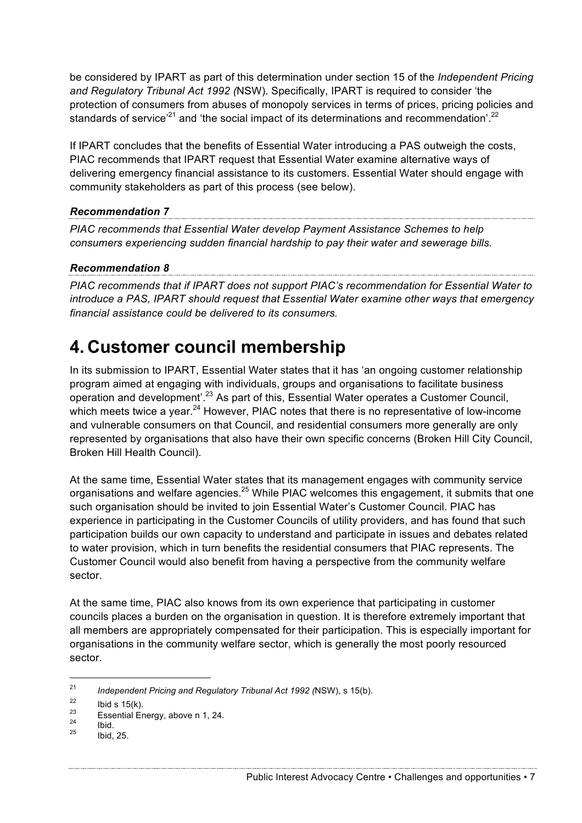be considered by IPART as part of this determination under section 15 of the *Independent Pricing and Regulatory Tribunal Act 1992 (*NSW). Specifically, IPART is required to consider 'the protection of consumers from abuses of monopoly services in terms of prices, pricing policies and standards of service<sup>21</sup> and 'the social impact of its determinations and recommendation'.<sup>22</sup>

If IPART concludes that the benefits of Essential Water introducing a PAS outweigh the costs, PIAC recommends that IPART request that Essential Water examine alternative ways of delivering emergency financial assistance to its customers. Essential Water should engage with community stakeholders as part of this process (see below).

#### *Recommendation 7*

*PIAC recommends that Essential Water develop Payment Assistance Schemes to help consumers experiencing sudden financial hardship to pay their water and sewerage bills.*

#### *Recommendation 8*

*PIAC recommends that if IPART does not support PIAC's recommendation for Essential Water to introduce a PAS, IPART should request that Essential Water examine other ways that emergency financial assistance could be delivered to its consumers.*

## **4. Customer council membership**

In its submission to IPART, Essential Water states that it has 'an ongoing customer relationship program aimed at engaging with individuals, groups and organisations to facilitate business operation and development'.<sup>23</sup> As part of this, Essential Water operates a Customer Council, which meets twice a year.<sup>24</sup> However, PIAC notes that there is no representative of low-income and vulnerable consumers on that Council, and residential consumers more generally are only represented by organisations that also have their own specific concerns (Broken Hill City Council, Broken Hill Health Council).

At the same time, Essential Water states that its management engages with community service organisations and welfare agencies.<sup>25</sup> While PIAC welcomes this engagement, it submits that one such organisation should be invited to join Essential Water's Customer Council. PIAC has experience in participating in the Customer Councils of utility providers, and has found that such participation builds our own capacity to understand and participate in issues and debates related to water provision, which in turn benefits the residential consumers that PIAC represents. The Customer Council would also benefit from having a perspective from the community welfare sector.

At the same time, PIAC also knows from its own experience that participating in customer councils places a burden on the organisation in question. It is therefore extremely important that all members are appropriately compensated for their participation. This is especially important for organisations in the community welfare sector, which is generally the most poorly resourced sector.

 <sup>21</sup> *Independent Pricing and Regulatory Tribunal Act 1992 (*NSW), s 15(b).

 $\frac{22}{23}$  Ibid s 15(k).

<sup>&</sup>lt;sup>23</sup> Essential Energy, above n 1, 24.<br>
<sup>25</sup> Ibid. 25.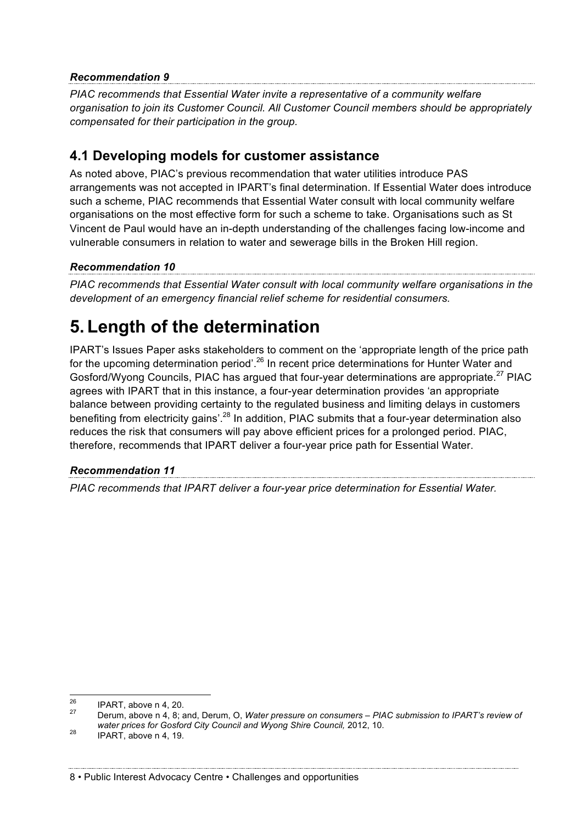#### *Recommendation 9*

*PIAC recommends that Essential Water invite a representative of a community welfare organisation to join its Customer Council. All Customer Council members should be appropriately compensated for their participation in the group.*

### **4.1 Developing models for customer assistance**

As noted above, PIAC's previous recommendation that water utilities introduce PAS arrangements was not accepted in IPART's final determination. If Essential Water does introduce such a scheme, PIAC recommends that Essential Water consult with local community welfare organisations on the most effective form for such a scheme to take. Organisations such as St Vincent de Paul would have an in-depth understanding of the challenges facing low-income and vulnerable consumers in relation to water and sewerage bills in the Broken Hill region.

### *Recommendation 10*

*PIAC recommends that Essential Water consult with local community welfare organisations in the development of an emergency financial relief scheme for residential consumers.*

## **5. Length of the determination**

IPART's Issues Paper asks stakeholders to comment on the 'appropriate length of the price path for the upcoming determination period<sup>', 26</sup> In recent price determinations for Hunter Water and Gosford/Wyong Councils, PIAC has argued that four-year determinations are appropriate.<sup>27</sup> PIAC agrees with IPART that in this instance, a four-year determination provides 'an appropriate balance between providing certainty to the regulated business and limiting delays in customers benefiting from electricity gains'.<sup>28</sup> In addition, PIAC submits that a four-year determination also reduces the risk that consumers will pay above efficient prices for a prolonged period. PIAC, therefore, recommends that IPART deliver a four-year price path for Essential Water.

#### *Recommendation 11*

*PIAC recommends that IPART deliver a four-year price determination for Essential Water.*

<sup>&</sup>lt;sup>26</sup> IPART, above n 4, 20.<br><sup>27</sup> Derum, above n 4, 8; and, Derum, O, *Water pressure on consumers – PIAC submission to IPART's review of water prices for Gosford City Council and Wyong Shire Council, 2012, 10.* <br><sup>28</sup> IPART, above n 4, 19.